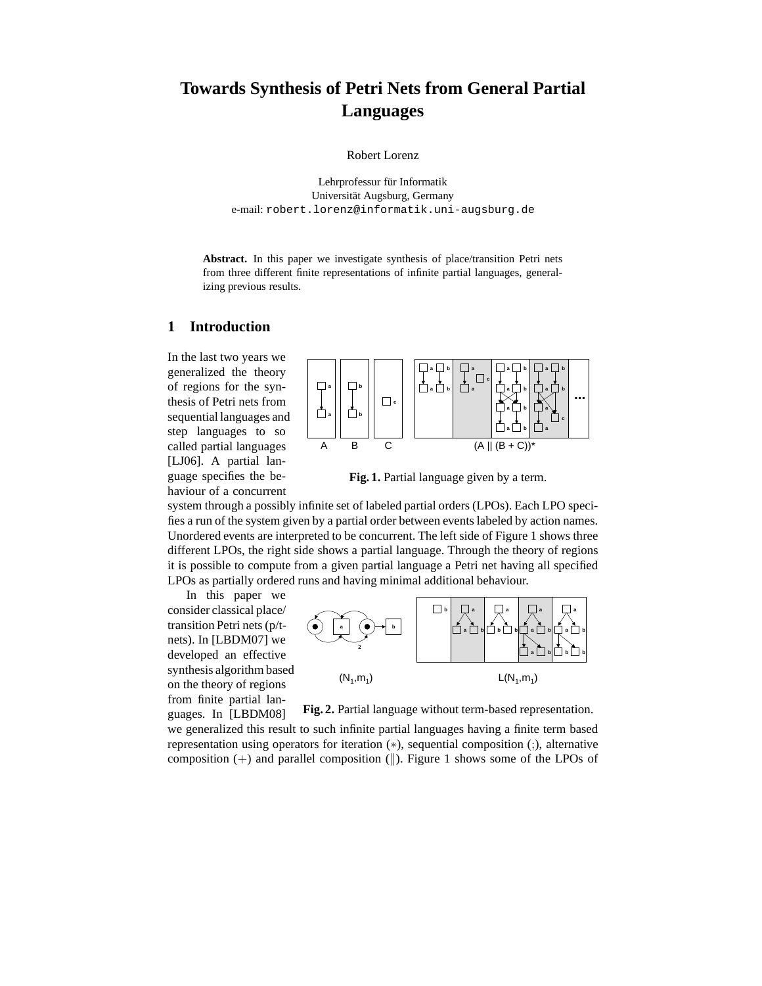# **Towards Synthesis of Petri Nets from General Partial Languages**

Robert Lorenz

Lehrprofessur für Informatik Universität Augsburg, Germany e-mail: robert.lorenz@informatik.uni-augsburg.de

Abstract. In this paper we investigate synthesis of place/transition Petri nets from three different finite representations of infinite partial languages, generalizing previous results.

# **1 Introduction**

In the last two years we generalized the theory of regions for the synthesis of Petri nets from sequential languages and step languages to so called partial languages [LJ06]. A partial language specifies the behaviour of a concurrent



**Fig. 1.** Partial language given by a term.

system through a possibly infinite set of labeled partial orders (LPOs). Each LPO specifies a run of the system given by a partial order between events labeled by action names. Unordered events are interpreted to be concurrent. The left side of Figure 1 shows three different LPOs, the right side shows a partial language. Through the theory of regions it is possible to compute from a given partial language a Petri net having all specified LPOs as partially ordered runs and having minimal additional behaviour.

In this paper we consider classical place/ transition Petri nets (p/tnets). In [LBDM07] we developed an effective synthesis algorithm based on the theory of regions from finite partial languages. In [LBDM08]



**Fig. 2.** Partial language without term-based representation.

we generalized this result to such infinite partial languages having a finite term based representation using operators for iteration (∗), sequential composition (;), alternative composition  $(+)$  and parallel composition  $(||)$ . Figure 1 shows some of the LPOs of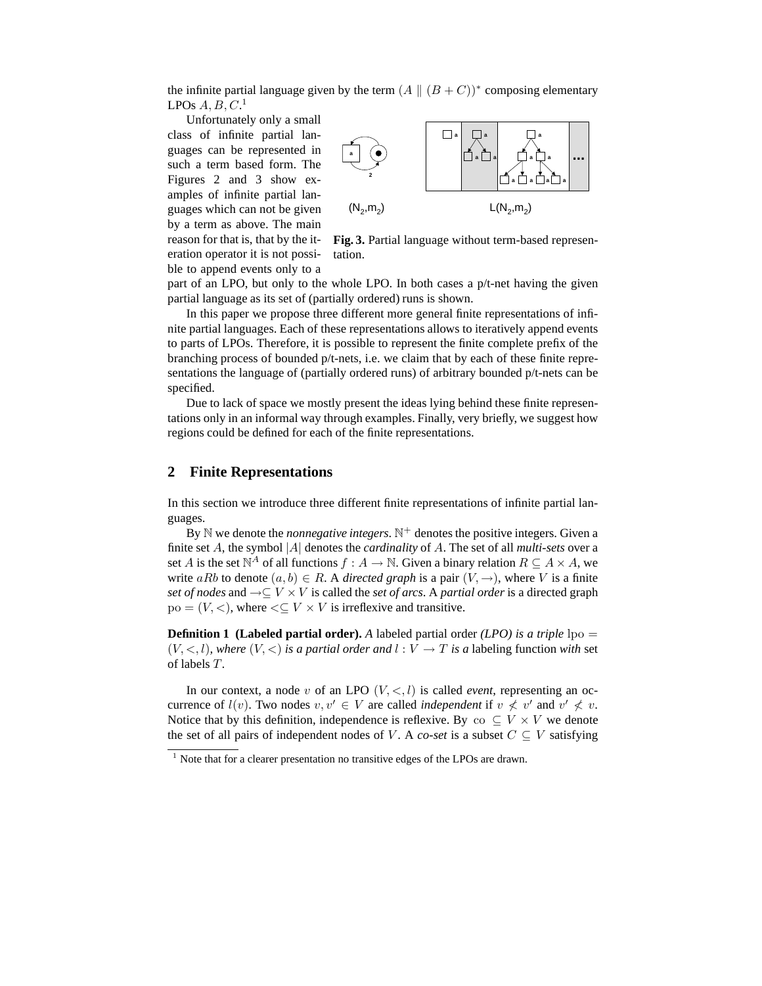the infinite partial language given by the term  $(A \parallel (B + C))^*$  composing elementary LPOs  $A, B, C$ .<sup>1</sup>

Unfortunately only a small class of infinite partial languages can be represented in such a term based form. The Figures 2 and 3 show examples of infinite partial languages which can not be given by a term as above. The main reason for that is, that by the iteration operator it is not possible to append events only to a



**Fig. 3.** Partial language without term-based representation.

part of an LPO, but only to the whole LPO. In both cases a p/t-net having the given partial language as its set of (partially ordered) runs is shown.

In this paper we propose three different more general finite representations of infinite partial languages. Each of these representations allows to iteratively append events to parts of LPOs. Therefore, it is possible to represent the finite complete prefix of the branching process of bounded p/t-nets, i.e. we claim that by each of these finite representations the language of (partially ordered runs) of arbitrary bounded p/t-nets can be specified.

Due to lack of space we mostly present the ideas lying behind these finite representations only in an informal way through examples. Finally, very briefly, we suggest how regions could be defined for each of the finite representations.

# **2 Finite Representations**

In this section we introduce three different finite representations of infinite partial languages.

By N we denote the *nonnegative integers*. N <sup>+</sup> denotes the positive integers. Given a finite set A, the symbol |A| denotes the *cardinality* of A. The set of all *multi-sets* over a set A is the set  $\mathbb{N}^A$  of all functions  $f : A \to \mathbb{N}$ . Given a binary relation  $R \subseteq A \times A$ , we write aRb to denote  $(a, b) \in R$ . A *directed graph* is a pair  $(V, \rightarrow)$ , where V is a finite *set of nodes* and →⊆ V × V is called the *set of arcs*. A *partial order* is a directed graph  $po = (V, <)$ , where  $\leq V \times V$  is irreflexive and transitive.

**Definition 1 (Labeled partial order).** A labeled partial order *(LPO) is a triple* lpo =  $(V, \leq, l)$ *, where*  $(V, \leq)$  *is a partial order and*  $l : V \to T$  *is a labeling function with set* of labels T *.*

In our context, a node v of an LPO  $(V, \le, l)$  is called *event*, representing an occurrence of  $l(v)$ . Two nodes  $v, v' \in V$  are called *independent* if  $v \nless v'$  and  $v' \nless v$ . Notice that by this definition, independence is reflexive. By co  $\subseteq V \times V$  we denote the set of all pairs of independent nodes of V. A *co-set* is a subset  $C \subseteq V$  satisfying

 $1$  Note that for a clearer presentation no transitive edges of the LPOs are drawn.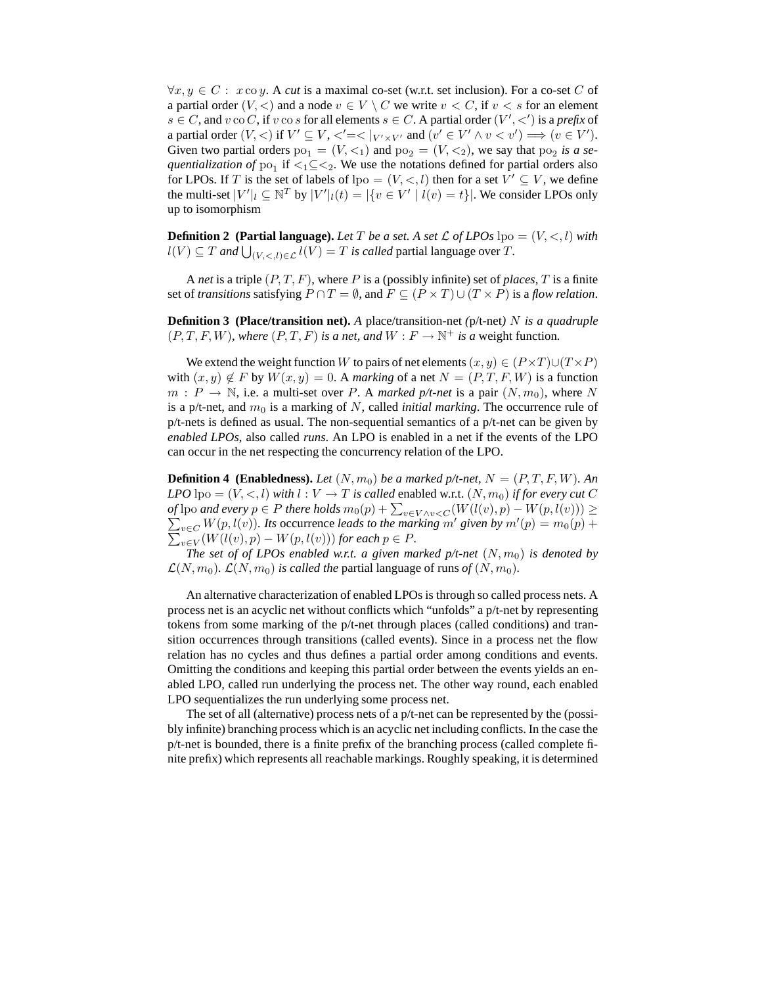$\forall x, y \in C: x \text{ co } y$ . A *cut* is a maximal co-set (w.r.t. set inclusion). For a co-set C of a partial order  $(V, \leq)$  and a node  $v \in V \setminus C$  we write  $v \leq C$ , if  $v \leq s$  for an element  $s \in C$ , and  $v$  co  $C$ , if  $v$  co  $s$  for all elements  $s \in C$ . A partial order  $(V', <')$  is a *prefix* of a partial order  $(V, <)$  if  $V' \subseteq V, <' = < |_{V' \times V'}$  and  $(v' \in V' \land v < v') \Longrightarrow (v \in V')$ . Given two partial orders  $po_1 = (V, \leq_1)$  and  $po_2 = (V, \leq_2)$ , we say that  $po_2$  is a se*quentialization of*  $po_1$  if  $\lt_1 \subseteq \lt_2$ . We use the notations defined for partial orders also for LPOs. If T is the set of labels of  $lpo = (V, \leq, l)$  then for a set  $V' \subseteq V$ , we define the multi-set  $|V'|_l \subseteq \mathbb{N}^T$  by  $|V'|_l(t) = |\{v \in V' \mid l(v) = t\}|$ . We consider LPOs only up to isomorphism

**Definition 2** (Partial language). Let T be a set. A set L of LPOs  $\text{lpo} = (V, \langle , \rangle)$  with  $l(V) \subseteq T$  *and*  $\bigcup_{(V, <, l) \in \mathcal{L}} l(V) = T$  *is called* partial language over  $T$ *.* 

A *net* is a triple (P, T, F), where P is a (possibly infinite) set of *places*, T is a finite set of *transitions* satisfying  $P \cap T = \emptyset$ , and  $F \subseteq (P \times T) \cup (T \times P)$  is a *flow relation*.

**Definition 3 (Place/transition net).** *A* place/transition-net *(*p/t-net*)* N *is a quadruple*  $(P, T, F, W)$ *, where*  $(P, T, F)$  *is a net, and*  $W : F \to \mathbb{N}^+$  *is a weight function.* 

We extend the weight function W to pairs of net elements  $(x, y) \in (P \times T) \cup (T \times P)$ with  $(x, y) \notin F$  by  $W(x, y) = 0$ . A *marking* of a net  $N = (P, T, F, W)$  is a function  $m : P \to \mathbb{N}$ , i.e. a multi-set over P. A *marked p/t-net* is a pair  $(N, m_0)$ , where N is a p/t-net, and  $m_0$  is a marking of N, called *initial marking*. The occurrence rule of  $p/t$ -nets is defined as usual. The non-sequential semantics of a  $p/t$ -net can be given by *enabled LPOs*, also called *runs*. An LPO is enabled in a net if the events of the LPO can occur in the net respecting the concurrency relation of the LPO.

**Definition 4 (Enabledness).** *Let*  $(N, m_0)$  *be a marked p/t-net,*  $N = (P, T, F, W)$ *. An LPO* lpo =  $(V, <, l)$  *with*  $l: V \to T$  *is called* enabled w.r.t.  $(N, m_0)$  *if for every cut* C *of* lpo *and every*  $p \in P$  *there holds*  $m_0(p) + \sum_{v \in V \wedge v < C} (W(l(v), p) - W(p, l(v))) \ge$  $\sum_{v \in C} W(p, l(v))$ *. Its* occurrence *leads to the marking* m' *given by* m'  $\sum$  $(p) = m_0(p) +$  $w \in V(W(l(v), p) - W(p, l(v)))$  for each  $p \in P$ .

*The set of of LPOs enabled w.r.t. a given marked*  $p/t$ *-net*  $(N, m_0)$  *is denoted by*  $\mathcal{L}(N, m_0)$ *.*  $\mathcal{L}(N, m_0)$  *is called the partial language of runs of*  $(N, m_0)$ *.* 

An alternative characterization of enabled LPOs is through so called process nets. A process net is an acyclic net without conflicts which "unfolds" a p/t-net by representing tokens from some marking of the p/t-net through places (called conditions) and transition occurrences through transitions (called events). Since in a process net the flow relation has no cycles and thus defines a partial order among conditions and events. Omitting the conditions and keeping this partial order between the events yields an enabled LPO, called run underlying the process net. The other way round, each enabled LPO sequentializes the run underlying some process net.

The set of all (alternative) process nets of a p/t-net can be represented by the (possibly infinite) branching process which is an acyclic net including conflicts. In the case the p/t-net is bounded, there is a finite prefix of the branching process (called complete finite prefix) which represents all reachable markings. Roughly speaking, it is determined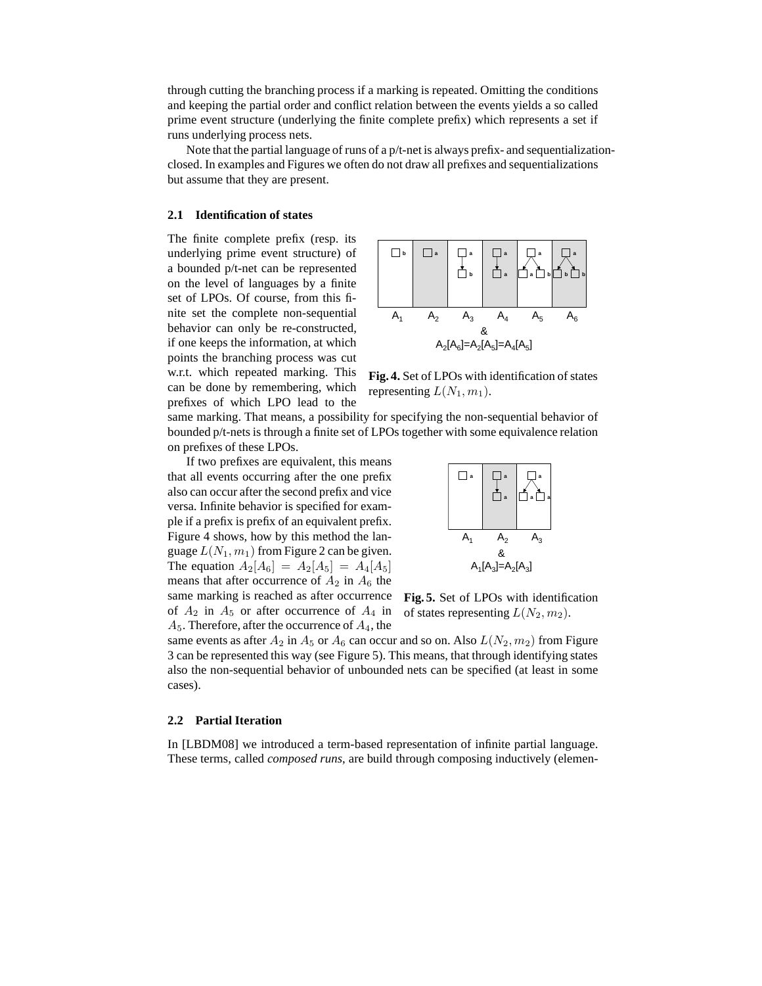through cutting the branching process if a marking is repeated. Omitting the conditions and keeping the partial order and conflict relation between the events yields a so called prime event structure (underlying the finite complete prefix) which represents a set if runs underlying process nets.

Note that the partial language of runs of a p/t-net is always prefix- and sequentializationclosed. In examples and Figures we often do not draw all prefixes and sequentializations but assume that they are present.

#### **2.1 Identification of states**

The finite complete prefix (resp. its underlying prime event structure) of a bounded p/t-net can be represented on the level of languages by a finite set of LPOs. Of course, from this finite set the complete non-sequential behavior can only be re-constructed, if one keeps the information, at which points the branching process was cut w.r.t. which repeated marking. This can be done by remembering, which prefixes of which LPO lead to the



**Fig. 4.** Set of LPOs with identification of states representing  $L(N_1, m_1)$ .

same marking. That means, a possibility for specifying the non-sequential behavior of bounded p/t-nets is through a finite set of LPOs together with some equivalence relation on prefixes of these LPOs.

If two prefixes are equivalent, this means that all events occurring after the one prefix also can occur after the second prefix and vice versa. Infinite behavior is specified for example if a prefix is prefix of an equivalent prefix. Figure 4 shows, how by this method the language  $L(N_1, m_1)$  from Figure 2 can be given. The equation  $A_2[A_6] = A_2[A_5] = A_4[A_5]$ means that after occurrence of  $A_2$  in  $A_6$  the same marking is reached as after occurrence of  $A_2$  in  $A_5$  or after occurrence of  $A_4$  in  $A_5$ . Therefore, after the occurrence of  $A_4$ , the



**Fig. 5.** Set of LPOs with identification of states representing  $L(N_2, m_2)$ .

same events as after  $A_2$  in  $A_5$  or  $A_6$  can occur and so on. Also  $L(N_2, m_2)$  from Figure 3 can be represented this way (see Figure 5). This means, that through identifying states also the non-sequential behavior of unbounded nets can be specified (at least in some cases).

#### **2.2 Partial Iteration**

In [LBDM08] we introduced a term-based representation of infinite partial language. These terms, called *composed runs*, are build through composing inductively (elemen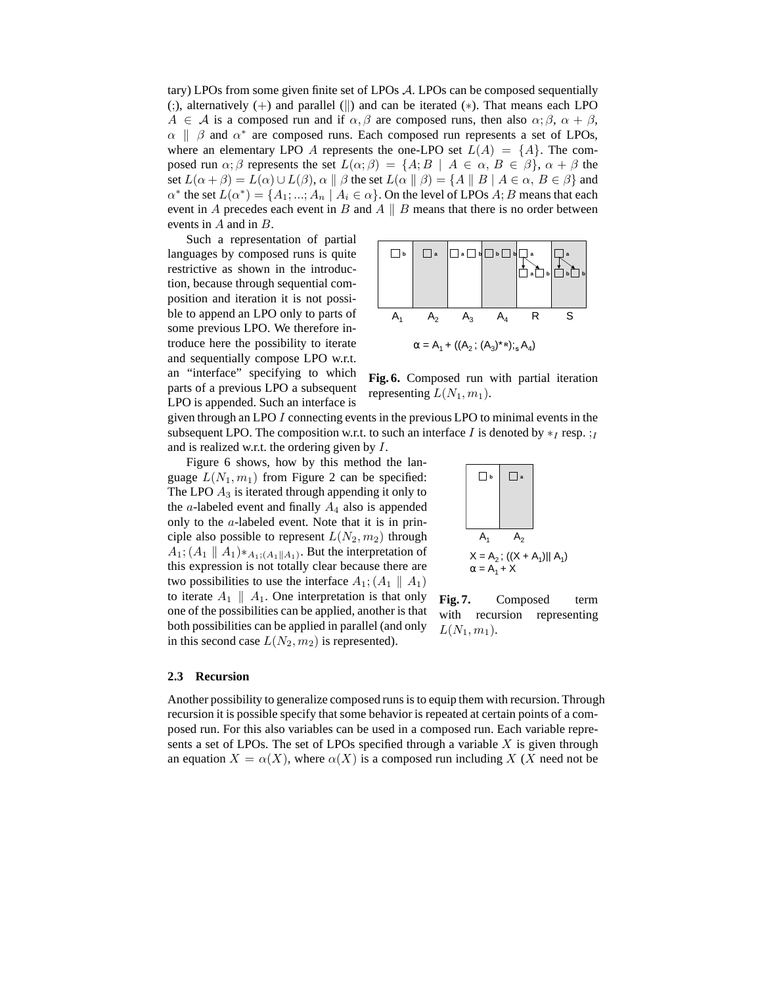tary) LPOs from some given finite set of LPOs A. LPOs can be composed sequentially (;), alternatively  $(+)$  and parallel  $(||)$  and can be iterated  $(*)$ . That means each LPO  $A \in \mathcal{A}$  is a composed run and if  $\alpha, \beta$  are composed runs, then also  $\alpha; \beta, \alpha + \beta$ ,  $\alpha \parallel \beta$  and  $\alpha^*$  are composed runs. Each composed run represents a set of LPOs, where an elementary LPO A represents the one-LPO set  $L(A) = \{A\}$ . The composed run  $\alpha$ ;  $\beta$  represents the set  $L(\alpha;\beta) = \{A; B \mid A \in \alpha, B \in \beta\}, \alpha + \beta$  the set  $L(\alpha + \beta) = L(\alpha) \cup L(\beta)$ ,  $\alpha \parallel \beta$  the set  $L(\alpha \parallel \beta) = \{A \parallel B \mid A \in \alpha, B \in \beta\}$  and  $\alpha^*$  the set  $L(\alpha^*) = \{A_1; ..., A_n \mid A_i \in \alpha\}$ . On the level of LPOs  $A; B$  means that each event in A precedes each event in B and A  $\parallel$  B means that there is no order between events in A and in B.

Such a representation of partial languages by composed runs is quite restrictive as shown in the introduction, because through sequential composition and iteration it is not possible to append an LPO only to parts of some previous LPO. We therefore introduce here the possibility to iterate and sequentially compose LPO w.r.t. an "interface" specifying to which parts of a previous LPO a subsequent LPO is appended. Such an interface is



**Fig. 6.** Composed run with partial iteration representing  $L(N_1, m_1)$ .

 $\Box$  **b**  $\Box$  **a** 

 $A_1$   $A_2$ 

 $\alpha = A_1 + X$ 

 $L(N_1, m_1)$ .

 $X = A_2$ ; ((X + A<sub>1</sub>)|| A<sub>1</sub>)

**Fig. 7.** Composed term with recursion representing

given through an LPO I connecting events in the previous LPO to minimal events in the subsequent LPO. The composition w.r.t. to such an interface I is denoted by  $*_I$  resp.  $:_I$ and is realized w.r.t. the ordering given by I.

Figure 6 shows, how by this method the language  $L(N_1, m_1)$  from Figure 2 can be specified: The LPO  $A_3$  is iterated through appending it only to the  $a$ -labeled event and finally  $A_4$  also is appended only to the a-labeled event. Note that it is in principle also possible to represent  $L(N_2, m_2)$  through  $A_1$ ;  $(A_1 \parallel A_1) *_{A_1; (A_1 \parallel A_1)}$ . But the interpretation of this expression is not totally clear because there are two possibilities to use the interface  $A_1$ ;  $(A_1 \parallel A_1)$ to iterate  $A_1 \parallel A_1$ . One interpretation is that only one of the possibilities can be applied, another is that both possibilities can be applied in parallel (and only in this second case  $L(N_2, m_2)$  is represented).

#### **2.3 Recursion**

Another possibility to generalize composed runs is to equip them with recursion. Through recursion it is possible specify that some behavior is repeated at certain points of a composed run. For this also variables can be used in a composed run. Each variable represents a set of LPOs. The set of LPOs specified through a variable  $X$  is given through an equation  $X = \alpha(X)$ , where  $\alpha(X)$  is a composed run including X (X need not be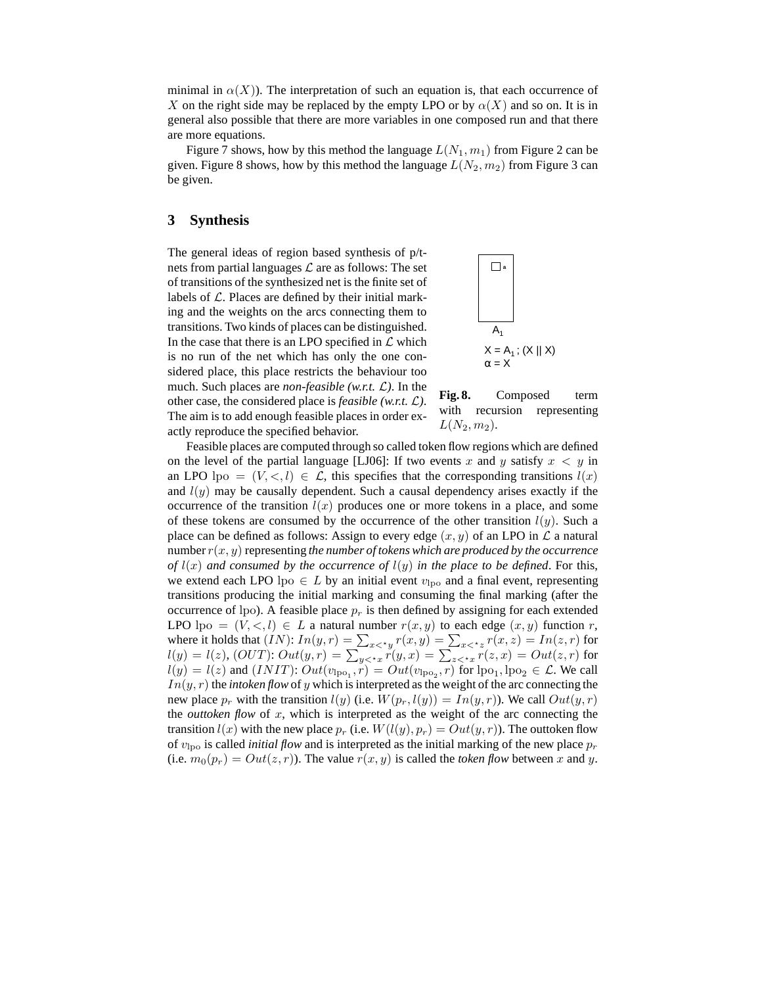minimal in  $\alpha(X)$ ). The interpretation of such an equation is, that each occurrence of X on the right side may be replaced by the empty LPO or by  $\alpha(X)$  and so on. It is in general also possible that there are more variables in one composed run and that there are more equations.

Figure 7 shows, how by this method the language  $L(N_1, m_1)$  from Figure 2 can be given. Figure 8 shows, how by this method the language  $L(N_2, m_2)$  from Figure 3 can be given.

### **3 Synthesis**

The general ideas of region based synthesis of p/tnets from partial languages  $\mathcal L$  are as follows: The set of transitions of the synthesized net is the finite set of labels of  $\mathcal L$ . Places are defined by their initial marking and the weights on the arcs connecting them to transitions. Two kinds of places can be distinguished. In the case that there is an LPO specified in  $\mathcal L$  which is no run of the net which has only the one considered place, this place restricts the behaviour too much. Such places are *non-feasible (w.r.t.* L*)*. In the other case, the considered place is *feasible (w.r.t.* L*)*. The aim is to add enough feasible places in order exactly reproduce the specified behavior.



**Fig. 8.** Composed term with recursion representing  $L(N_2, m_2)$ .

Feasible places are computed through so called token flow regions which are defined on the level of the partial language [LJ06]: If two events x and y satisfy  $x < y$  in an LPO  $\text{lpo} = (V, \leq, l) \in \mathcal{L}$ , this specifies that the corresponding transitions  $l(x)$ and  $l(y)$  may be causally dependent. Such a causal dependency arises exactly if the occurrence of the transition  $l(x)$  produces one or more tokens in a place, and some of these tokens are consumed by the occurrence of the other transition  $l(y)$ . Such a place can be defined as follows: Assign to every edge  $(x, y)$  of an LPO in  $\mathcal L$  a natural number  $r(x, y)$  representing *the number of tokens which are produced by the occurrence of*  $l(x)$  *and consumed by the occurrence of*  $l(y)$  *in the place to be defined.* For this, we extend each LPO lpo  $\in L$  by an initial event  $v_{\text{lpo}}$  and a final event, representing transitions producing the initial marking and consuming the final marking (after the occurrence of lpo). A feasible place  $p<sub>r</sub>$  is then defined by assigning for each extended LPO  $\text{lpo} = (V, \leq, l) \in L$  a natural number  $r(x, y)$  to each edge  $(x, y)$  function r, where it holds that  $(IN)$ :  $In(y,r) = \sum_{x <^*y} r(x,y) = \sum_{x <^*z} r(x,z) = In(z,r)$  for  $l(y)=l(z),\ (OUT){:}\ Out(y,r)=\sum_{y<^{\star}x}r(y,x)=\sum_{z<^{\star}x}r(z,x)=Out(z,r)$  for  $l(y) = l(z)$  and  $(INIT)$ :  $Out(v_{\text{lpo}_1}, r) = Out(v_{\text{lpo}_2}, r)$  for  $\text{lpo}_1, \text{lpo}_2 \in \mathcal{L}$ . We call  $In(y, r)$  the *intoken flow* of y which is interpreted as the weight of the arc connecting the new place  $p_r$  with the transition  $l(y)$  (i.e.  $W(p_r, l(y)) = In(y, r)$ ). We call  $Out(y, r)$ the *outtoken flow* of  $x$ , which is interpreted as the weight of the arc connecting the transition  $l(x)$  with the new place  $p_r$  (i.e.  $W(l(y), p_r) = Out(y, r)$ ). The outtoken flow of  $v_{\text{lpo}}$  is called *initial flow* and is interpreted as the initial marking of the new place  $p_r$ (i.e.  $m_0(p_r) = Out(z, r)$ ). The value  $r(x, y)$  is called the *token flow* between x and y.